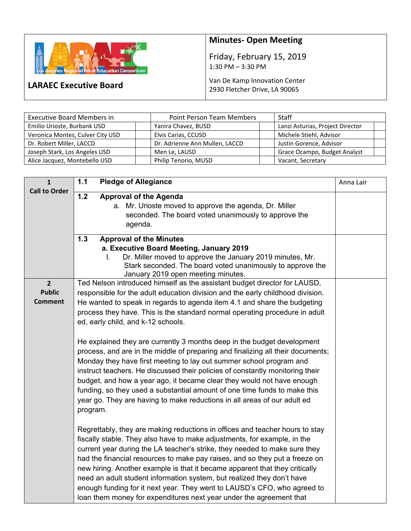

**LARAEC Executive Board** 

## **Minutes‐ Open Meeting**

Friday, February 15, 2019 1:30 PM – 3:30 PM

Van De Kamp Innovation Center 2930 Fletcher Drive, LA 90065

| <b>Executive Board Members in</b> | <b>Point Person Team Members</b> | <b>Staff</b>                     |  |
|-----------------------------------|----------------------------------|----------------------------------|--|
| Emilio Urioste, Burbank USD       | Yanira Chavez, BUSD              | Lanzi Asturias, Project Director |  |
| Veronica Montes, Culver City USD  | Elvis Carias, CCUSD              | Michele Stiehl, Advisor          |  |
| Dr. Robert Miller, LACCD          | Dr. Adrienne Ann Mullen, LACCD   | Justin Gorence, Advisor          |  |
| Joseph Stark, Los Angeles USD     | Men Le, LAUSD                    | Grace Ocampo, Budget Analyst     |  |
| Alice Jacquez, Montebello USD     | Philip Tenorio, MUSD             | Vacant, Secretary                |  |

| $\mathbf{1}$                                      | <b>Pledge of Allegiance</b><br>$1.1$                                                                                                                                                                                                                                                                                                                                                                                                                                                                                                                                                                                                                                                                                                                                                                                                                                                                                                                                    | Anna Lair |
|---------------------------------------------------|-------------------------------------------------------------------------------------------------------------------------------------------------------------------------------------------------------------------------------------------------------------------------------------------------------------------------------------------------------------------------------------------------------------------------------------------------------------------------------------------------------------------------------------------------------------------------------------------------------------------------------------------------------------------------------------------------------------------------------------------------------------------------------------------------------------------------------------------------------------------------------------------------------------------------------------------------------------------------|-----------|
| <b>Call to Order</b>                              | $1.2$<br><b>Approval of the Agenda</b><br>a. Mr. Urioste moved to approve the agenda, Dr. Miller<br>seconded. The board voted unanimously to approve the<br>agenda.                                                                                                                                                                                                                                                                                                                                                                                                                                                                                                                                                                                                                                                                                                                                                                                                     |           |
|                                                   | 1.3<br><b>Approval of the Minutes</b><br>a. Executive Board Meeting, January 2019<br>Dr. Miller moved to approve the January 2019 minutes, Mr.<br>I.<br>Stark seconded. The board voted unanimously to approve the                                                                                                                                                                                                                                                                                                                                                                                                                                                                                                                                                                                                                                                                                                                                                      |           |
| $\overline{2}$<br><b>Public</b><br><b>Comment</b> | January 2019 open meeting minutes.<br>Ted Nelson introduced himself as the assistant budget director for LAUSD,<br>responsible for the adult education division and the early childhood division.<br>He wanted to speak in regards to agenda item 4.1 and share the budgeting<br>process they have. This is the standard normal operating procedure in adult<br>ed, early child, and k-12 schools.<br>He explained they are currently 3 months deep in the budget development<br>process, and are in the middle of preparing and finalizing all their documents;<br>Monday they have first meeting to lay out summer school program and<br>instruct teachers. He discussed their policies of constantly monitoring their<br>budget, and how a year ago, it became clear they would not have enough<br>funding, so they used a substantial amount of one time funds to make this<br>year go. They are having to make reductions in all areas of our adult ed<br>program. |           |
|                                                   | Regrettably, they are making reductions in offices and teacher hours to stay<br>fiscally stable. They also have to make adjustments, for example, in the<br>current year during the LA teacher's strike, they needed to make sure they<br>had the financial resources to make pay raises, and so they put a freeze on<br>new hiring. Another example is that it became apparent that they critically<br>need an adult student information system, but realized they don't have<br>enough funding for it next year. They went to LAUSD's CFO, who agreed to<br>loan them money for expenditures next year under the agreement that                                                                                                                                                                                                                                                                                                                                       |           |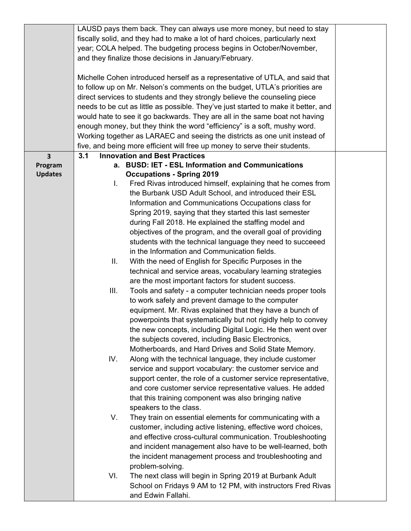|                         | LAUSD pays them back. They can always use more money, but need to stay        |                                                                                    |  |  |  |
|-------------------------|-------------------------------------------------------------------------------|------------------------------------------------------------------------------------|--|--|--|
|                         | fiscally solid, and they had to make a lot of hard choices, particularly next |                                                                                    |  |  |  |
|                         | year; COLA helped. The budgeting process begins in October/November,          |                                                                                    |  |  |  |
|                         | and they finalize those decisions in January/February.                        |                                                                                    |  |  |  |
|                         |                                                                               |                                                                                    |  |  |  |
|                         |                                                                               | Michelle Cohen introduced herself as a representative of UTLA, and said that       |  |  |  |
|                         |                                                                               | to follow up on Mr. Nelson's comments on the budget, UTLA's priorities are         |  |  |  |
|                         |                                                                               |                                                                                    |  |  |  |
|                         |                                                                               | direct services to students and they strongly believe the counseling piece         |  |  |  |
|                         |                                                                               | needs to be cut as little as possible. They've just started to make it better, and |  |  |  |
|                         |                                                                               | would hate to see it go backwards. They are all in the same boat not having        |  |  |  |
|                         |                                                                               | enough money, but they think the word "efficiency" is a soft, mushy word.          |  |  |  |
|                         |                                                                               | Working together as LARAEC and seeing the districts as one unit instead of         |  |  |  |
|                         |                                                                               | five, and being more efficient will free up money to serve their students.         |  |  |  |
| $\overline{\mathbf{3}}$ | 3.1                                                                           | <b>Innovation and Best Practices</b>                                               |  |  |  |
| Program                 |                                                                               | a. BUSD: IET - ESL Information and Communications                                  |  |  |  |
| <b>Updates</b>          |                                                                               | <b>Occupations - Spring 2019</b>                                                   |  |  |  |
|                         | I.                                                                            | Fred Rivas introduced himself, explaining that he comes from                       |  |  |  |
|                         |                                                                               | the Burbank USD Adult School, and introduced their ESL                             |  |  |  |
|                         |                                                                               | Information and Communications Occupations class for                               |  |  |  |
|                         |                                                                               | Spring 2019, saying that they started this last semester                           |  |  |  |
|                         |                                                                               | during Fall 2018. He explained the staffing model and                              |  |  |  |
|                         |                                                                               | objectives of the program, and the overall goal of providing                       |  |  |  |
|                         |                                                                               | students with the technical language they need to succeeed                         |  |  |  |
|                         |                                                                               | in the Information and Communication fields.                                       |  |  |  |
|                         | Ш.                                                                            | With the need of English for Specific Purposes in the                              |  |  |  |
|                         |                                                                               |                                                                                    |  |  |  |
|                         |                                                                               | technical and service areas, vocabulary learning strategies                        |  |  |  |
|                         |                                                                               | are the most important factors for student success.                                |  |  |  |
|                         | III.                                                                          | Tools and safety - a computer technician needs proper tools                        |  |  |  |
|                         |                                                                               | to work safely and prevent damage to the computer                                  |  |  |  |
|                         |                                                                               | equipment. Mr. Rivas explained that they have a bunch of                           |  |  |  |
|                         |                                                                               | powerpoints that systematically but not rigidly help to convey                     |  |  |  |
|                         |                                                                               | the new concepts, including Digital Logic. He then went over                       |  |  |  |
|                         |                                                                               | the subjects covered, including Basic Electronics,                                 |  |  |  |
|                         |                                                                               | Motherboards, and Hard Drives and Solid State Memory.                              |  |  |  |
|                         | IV.                                                                           | Along with the technical language, they include customer                           |  |  |  |
|                         |                                                                               | service and support vocabulary: the customer service and                           |  |  |  |
|                         |                                                                               | support center, the role of a customer service representative,                     |  |  |  |
|                         |                                                                               | and core customer service representative values. He added                          |  |  |  |
|                         |                                                                               | that this training component was also bringing native                              |  |  |  |
|                         |                                                                               | speakers to the class.                                                             |  |  |  |
|                         | V.                                                                            | They train on essential elements for communicating with a                          |  |  |  |
|                         |                                                                               |                                                                                    |  |  |  |
|                         |                                                                               | customer, including active listening, effective word choices,                      |  |  |  |
|                         |                                                                               | and effective cross-cultural communication. Troubleshooting                        |  |  |  |
|                         |                                                                               | and incident management also have to be well-learned, both                         |  |  |  |
|                         |                                                                               | the incident management process and troubleshooting and                            |  |  |  |
|                         |                                                                               | problem-solving.                                                                   |  |  |  |
|                         | VI.                                                                           | The next class will begin in Spring 2019 at Burbank Adult                          |  |  |  |
|                         |                                                                               | School on Fridays 9 AM to 12 PM, with instructors Fred Rivas                       |  |  |  |
|                         |                                                                               | and Edwin Fallahi.                                                                 |  |  |  |
|                         |                                                                               |                                                                                    |  |  |  |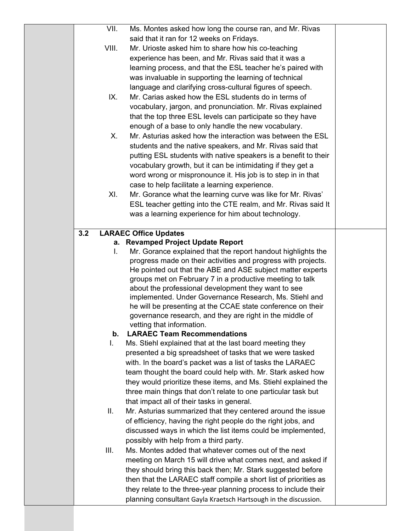| VII.  | Ms. Montes asked how long the course ran, and Mr. Rivas                                                                   |  |
|-------|---------------------------------------------------------------------------------------------------------------------------|--|
|       | said that it ran for 12 weeks on Fridays.                                                                                 |  |
| VIII. | Mr. Urioste asked him to share how his co-teaching                                                                        |  |
|       | experience has been, and Mr. Rivas said that it was a                                                                     |  |
|       | learning process, and that the ESL teacher he's paired with                                                               |  |
|       | was invaluable in supporting the learning of technical                                                                    |  |
|       | language and clarifying cross-cultural figures of speech.                                                                 |  |
| IX.   | Mr. Carias asked how the ESL students do in terms of                                                                      |  |
|       | vocabulary, jargon, and pronunciation. Mr. Rivas explained                                                                |  |
|       | that the top three ESL levels can participate so they have                                                                |  |
|       | enough of a base to only handle the new vocabulary.                                                                       |  |
| Х.    | Mr. Asturias asked how the interaction was between the ESL                                                                |  |
|       | students and the native speakers, and Mr. Rivas said that                                                                 |  |
|       | putting ESL students with native speakers is a benefit to their                                                           |  |
|       | vocabulary growth, but it can be intimidating if they get a                                                               |  |
|       | word wrong or mispronounce it. His job is to step in in that                                                              |  |
|       | case to help facilitate a learning experience.                                                                            |  |
| XI.   | Mr. Gorance what the learning curve was like for Mr. Rivas'                                                               |  |
|       | ESL teacher getting into the CTE realm, and Mr. Rivas said It                                                             |  |
|       | was a learning experience for him about technology.                                                                       |  |
|       |                                                                                                                           |  |
| 3.2   | <b>LARAEC Office Updates</b>                                                                                              |  |
| L.    | a. Revamped Project Update Report<br>Mr. Gorance explained that the report handout highlights the                         |  |
|       | progress made on their activities and progress with projects.                                                             |  |
|       | He pointed out that the ABE and ASE subject matter experts                                                                |  |
|       | groups met on February 7 in a productive meeting to talk                                                                  |  |
|       | about the professional development they want to see                                                                       |  |
|       | implemented. Under Governance Research, Ms. Stiehl and                                                                    |  |
|       | he will be presenting at the CCAE state conference on their                                                               |  |
|       | governance research, and they are right in the middle of                                                                  |  |
|       | vetting that information.                                                                                                 |  |
| b.    | <b>LARAEC Team Recommendations</b>                                                                                        |  |
| L.    | Ms. Stiehl explained that at the last board meeting they                                                                  |  |
|       | presented a big spreadsheet of tasks that we were tasked                                                                  |  |
|       | with. In the board's packet was a list of tasks the LARAEC<br>team thought the board could help with. Mr. Stark asked how |  |
|       | they would prioritize these items, and Ms. Stiehl explained the                                                           |  |
|       | three main things that don't relate to one particular task but                                                            |  |
|       | that impact all of their tasks in general.                                                                                |  |
| Ш.    | Mr. Asturias summarized that they centered around the issue                                                               |  |
|       | of efficiency, having the right people do the right jobs, and                                                             |  |
|       | discussed ways in which the list items could be implemented,                                                              |  |
|       | possibly with help from a third party.                                                                                    |  |
| III.  | Ms. Montes added that whatever comes out of the next                                                                      |  |
|       | meeting on March 15 will drive what comes next, and asked if                                                              |  |
|       | they should bring this back then; Mr. Stark suggested before                                                              |  |
|       | then that the LARAEC staff compile a short list of priorities as                                                          |  |
|       | they relate to the three-year planning process to include their                                                           |  |
|       | planning consultant Gayla Kraetsch Hartsough in the discussion.                                                           |  |
|       |                                                                                                                           |  |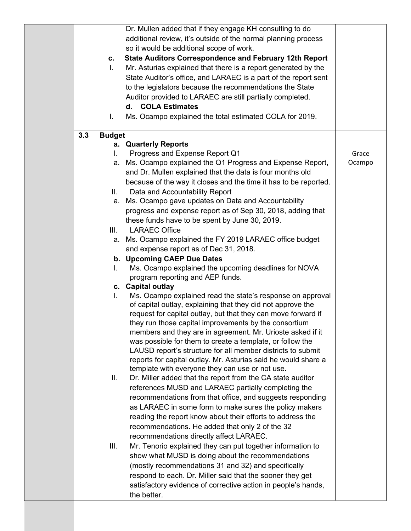| C.<br>L.<br>L.       | Dr. Mullen added that if they engage KH consulting to do<br>additional review, it's outside of the normal planning process<br>so it would be additional scope of work.<br><b>State Auditors Correspondence and February 12th Report</b><br>Mr. Asturias explained that there is a report generated by the<br>State Auditor's office, and LARAEC is a part of the report sent<br>to the legislators because the recommendations the State<br>Auditor provided to LARAEC are still partially completed.<br><b>COLA Estimates</b><br>d.<br>Ms. Ocampo explained the total estimated COLA for 2019. |        |
|----------------------|-------------------------------------------------------------------------------------------------------------------------------------------------------------------------------------------------------------------------------------------------------------------------------------------------------------------------------------------------------------------------------------------------------------------------------------------------------------------------------------------------------------------------------------------------------------------------------------------------|--------|
| 3.3<br><b>Budget</b> |                                                                                                                                                                                                                                                                                                                                                                                                                                                                                                                                                                                                 |        |
|                      | a. Quarterly Reports                                                                                                                                                                                                                                                                                                                                                                                                                                                                                                                                                                            |        |
| L.                   | Progress and Expense Report Q1                                                                                                                                                                                                                                                                                                                                                                                                                                                                                                                                                                  | Grace  |
|                      | a. Ms. Ocampo explained the Q1 Progress and Expense Report,                                                                                                                                                                                                                                                                                                                                                                                                                                                                                                                                     | Ocampo |
|                      | and Dr. Mullen explained that the data is four months old                                                                                                                                                                                                                                                                                                                                                                                                                                                                                                                                       |        |
|                      | because of the way it closes and the time it has to be reported.                                                                                                                                                                                                                                                                                                                                                                                                                                                                                                                                |        |
| II. -                | Data and Accountability Report                                                                                                                                                                                                                                                                                                                                                                                                                                                                                                                                                                  |        |
| а.                   | Ms. Ocampo gave updates on Data and Accountability                                                                                                                                                                                                                                                                                                                                                                                                                                                                                                                                              |        |
|                      | progress and expense report as of Sep 30, 2018, adding that                                                                                                                                                                                                                                                                                                                                                                                                                                                                                                                                     |        |
|                      | these funds have to be spent by June 30, 2019.                                                                                                                                                                                                                                                                                                                                                                                                                                                                                                                                                  |        |
| III.                 | <b>LARAEC Office</b>                                                                                                                                                                                                                                                                                                                                                                                                                                                                                                                                                                            |        |
| а.                   | Ms. Ocampo explained the FY 2019 LARAEC office budget<br>and expense report as of Dec 31, 2018.                                                                                                                                                                                                                                                                                                                                                                                                                                                                                                 |        |
|                      | b. Upcoming CAEP Due Dates                                                                                                                                                                                                                                                                                                                                                                                                                                                                                                                                                                      |        |
| L.                   | Ms. Ocampo explained the upcoming deadlines for NOVA                                                                                                                                                                                                                                                                                                                                                                                                                                                                                                                                            |        |
|                      | program reporting and AEP funds.                                                                                                                                                                                                                                                                                                                                                                                                                                                                                                                                                                |        |
|                      | c. Capital outlay                                                                                                                                                                                                                                                                                                                                                                                                                                                                                                                                                                               |        |
| L.                   | Ms. Ocampo explained read the state's response on approval                                                                                                                                                                                                                                                                                                                                                                                                                                                                                                                                      |        |
|                      | of capital outlay, explaining that they did not approve the                                                                                                                                                                                                                                                                                                                                                                                                                                                                                                                                     |        |
|                      | request for capital outlay, but that they can move forward if                                                                                                                                                                                                                                                                                                                                                                                                                                                                                                                                   |        |
|                      | they run those capital improvements by the consortium                                                                                                                                                                                                                                                                                                                                                                                                                                                                                                                                           |        |
|                      | members and they are in agreement. Mr. Urioste asked if it<br>was possible for them to create a template, or follow the                                                                                                                                                                                                                                                                                                                                                                                                                                                                         |        |
|                      | LAUSD report's structure for all member districts to submit                                                                                                                                                                                                                                                                                                                                                                                                                                                                                                                                     |        |
|                      | reports for capital outlay. Mr. Asturias said he would share a                                                                                                                                                                                                                                                                                                                                                                                                                                                                                                                                  |        |
|                      | template with everyone they can use or not use.                                                                                                                                                                                                                                                                                                                                                                                                                                                                                                                                                 |        |
| II.                  | Dr. Miller added that the report from the CA state auditor                                                                                                                                                                                                                                                                                                                                                                                                                                                                                                                                      |        |
|                      | references MUSD and LARAEC partially completing the                                                                                                                                                                                                                                                                                                                                                                                                                                                                                                                                             |        |
|                      | recommendations from that office, and suggests responding                                                                                                                                                                                                                                                                                                                                                                                                                                                                                                                                       |        |
|                      | as LARAEC in some form to make sures the policy makers                                                                                                                                                                                                                                                                                                                                                                                                                                                                                                                                          |        |
|                      | reading the report know about their efforts to address the                                                                                                                                                                                                                                                                                                                                                                                                                                                                                                                                      |        |
|                      | recommendations. He added that only 2 of the 32                                                                                                                                                                                                                                                                                                                                                                                                                                                                                                                                                 |        |
|                      | recommendations directly affect LARAEC.                                                                                                                                                                                                                                                                                                                                                                                                                                                                                                                                                         |        |
| III.                 | Mr. Tenorio explained they can put together information to                                                                                                                                                                                                                                                                                                                                                                                                                                                                                                                                      |        |
|                      | show what MUSD is doing about the recommendations                                                                                                                                                                                                                                                                                                                                                                                                                                                                                                                                               |        |
|                      | (mostly recommendations 31 and 32) and specifically                                                                                                                                                                                                                                                                                                                                                                                                                                                                                                                                             |        |
|                      | respond to each. Dr. Miller said that the sooner they get                                                                                                                                                                                                                                                                                                                                                                                                                                                                                                                                       |        |
|                      | satisfactory evidence of corrective action in people's hands,                                                                                                                                                                                                                                                                                                                                                                                                                                                                                                                                   |        |
|                      | the better.                                                                                                                                                                                                                                                                                                                                                                                                                                                                                                                                                                                     |        |
|                      |                                                                                                                                                                                                                                                                                                                                                                                                                                                                                                                                                                                                 |        |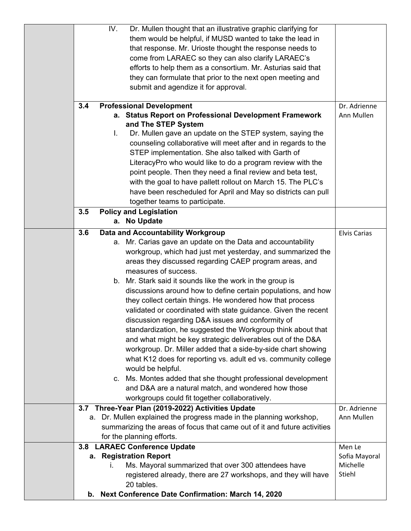|     | IV.<br>Dr. Mullen thought that an illustrative graphic clarifying for    |                     |
|-----|--------------------------------------------------------------------------|---------------------|
|     | them would be helpful, if MUSD wanted to take the lead in                |                     |
|     | that response. Mr. Urioste thought the response needs to                 |                     |
|     | come from LARAEC so they can also clarify LARAEC's                       |                     |
|     | efforts to help them as a consortium. Mr. Asturias said that             |                     |
|     | they can formulate that prior to the next open meeting and               |                     |
|     | submit and agendize it for approval.                                     |                     |
|     |                                                                          |                     |
| 3.4 | <b>Professional Development</b>                                          | Dr. Adrienne        |
|     | a. Status Report on Professional Development Framework                   | Ann Mullen          |
|     | and The STEP System                                                      |                     |
|     | Dr. Mullen gave an update on the STEP system, saying the<br>L.           |                     |
|     | counseling collaborative will meet after and in regards to the           |                     |
|     | STEP implementation. She also talked with Garth of                       |                     |
|     | LiteracyPro who would like to do a program review with the               |                     |
|     | point people. Then they need a final review and beta test,               |                     |
|     | with the goal to have pallett rollout on March 15. The PLC's             |                     |
|     | have been rescheduled for April and May so districts can pull            |                     |
|     | together teams to participate.                                           |                     |
| 3.5 | <b>Policy and Legislation</b>                                            |                     |
|     | a. No Update                                                             |                     |
| 3.6 | Data and Accountability Workgroup                                        | <b>Elvis Carias</b> |
|     | a. Mr. Carias gave an update on the Data and accountability              |                     |
|     | workgroup, which had just met yesterday, and summarized the              |                     |
|     | areas they discussed regarding CAEP program areas, and                   |                     |
|     | measures of success.                                                     |                     |
|     | b. Mr. Stark said it sounds like the work in the group is                |                     |
|     | discussions around how to define certain populations, and how            |                     |
|     | they collect certain things. He wondered how that process                |                     |
|     | validated or coordinated with state guidance. Given the recent           |                     |
|     | discussion regarding D&A issues and conformity of                        |                     |
|     | standardization, he suggested the Workgroup think about that             |                     |
|     | and what might be key strategic deliverables out of the D&A              |                     |
|     | workgroup. Dr. Miller added that a side-by-side chart showing            |                     |
|     | what K12 does for reporting vs. adult ed vs. community college           |                     |
|     | would be helpful.                                                        |                     |
|     | c. Ms. Montes added that she thought professional development            |                     |
|     | and D&A are a natural match, and wondered how those                      |                     |
|     | workgroups could fit together collaboratively.                           |                     |
|     | 3.7 Three-Year Plan (2019-2022) Activities Update                        | Dr. Adrienne        |
|     | a. Dr. Mullen explained the progress made in the planning workshop,      | Ann Mullen          |
|     | summarizing the areas of focus that came out of it and future activities |                     |
|     | for the planning efforts.                                                |                     |
|     | 3.8 LARAEC Conference Update                                             | Men Le              |
|     | a. Registration Report                                                   | Sofia Mayoral       |
|     | Ms. Mayoral summarized that over 300 attendees have<br>L.                | Michelle            |
|     | registered already, there are 27 workshops, and they will have           | Stiehl              |
|     | 20 tables.                                                               |                     |
|     | b. Next Conference Date Confirmation: March 14, 2020                     |                     |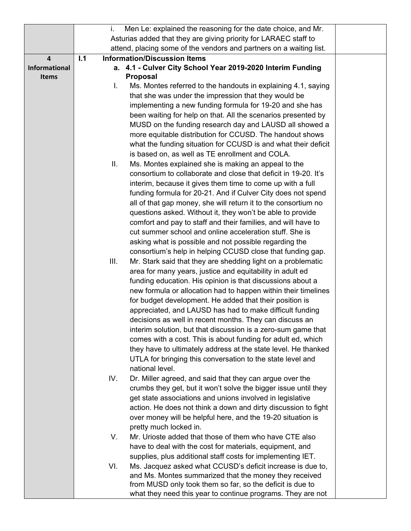| Asturias added that they are giving priority for LARAEC staff to                   |  |
|------------------------------------------------------------------------------------|--|
| attend, placing some of the vendors and partners on a waiting list.                |  |
| <b>Information/Discussion Items</b><br>$\overline{\mathbf{4}}$<br>1.1              |  |
| a. 4.1 - Culver City School Year 2019-2020 Interim Funding<br><b>Informational</b> |  |
| <b>Proposal</b><br><b>Items</b>                                                    |  |
| Ms. Montes referred to the handouts in explaining 4.1, saying<br>L.                |  |
| that she was under the impression that they would be                               |  |
| implementing a new funding formula for 19-20 and she has                           |  |
| been waiting for help on that. All the scenarios presented by                      |  |
| MUSD on the funding research day and LAUSD all showed a                            |  |
| more equitable distribution for CCUSD. The handout shows                           |  |
| what the funding situation for CCUSD is and what their deficit                     |  |
| is based on, as well as TE enrollment and COLA.                                    |  |
| Ms. Montes explained she is making an appeal to the<br>Ш.                          |  |
| consortium to collaborate and close that deficit in 19-20. It's                    |  |
| interim, because it gives them time to come up with a full                         |  |
| funding formula for 20-21. And if Culver City does not spend                       |  |
| all of that gap money, she will return it to the consortium no                     |  |
| questions asked. Without it, they won't be able to provide                         |  |
| comfort and pay to staff and their families, and will have to                      |  |
| cut summer school and online acceleration stuff. She is                            |  |
| asking what is possible and not possible regarding the                             |  |
| consortium's help in helping CCUSD close that funding gap.                         |  |
| Mr. Stark said that they are shedding light on a problematic<br>III.               |  |
| area for many years, justice and equitability in adult ed                          |  |
| funding education. His opinion is that discussions about a                         |  |
| new formula or allocation had to happen within their timelines                     |  |
| for budget development. He added that their position is                            |  |
| appreciated, and LAUSD has had to make difficult funding                           |  |
| decisions as well in recent months. They can discuss an                            |  |
| interim solution, but that discussion is a zero-sum game that                      |  |
| comes with a cost. This is about funding for adult ed, which                       |  |
| they have to ultimately address at the state level. He thanked                     |  |
| UTLA for bringing this conversation to the state level and<br>national level.      |  |
| IV.<br>Dr. Miller agreed, and said that they can argue over the                    |  |
| crumbs they get, but it won't solve the bigger issue until they                    |  |
| get state associations and unions involved in legislative                          |  |
| action. He does not think a down and dirty discussion to fight                     |  |
| over money will be helpful here, and the 19-20 situation is                        |  |
| pretty much locked in.                                                             |  |
| Mr. Urioste added that those of them who have CTE also<br>V.                       |  |
| have to deal with the cost for materials, equipment, and                           |  |
| supplies, plus additional staff costs for implementing IET.                        |  |
| Ms. Jacquez asked what CCUSD's deficit increase is due to,<br>VI.                  |  |
| and Ms. Montes summarized that the money they received                             |  |
| from MUSD only took them so far, so the deficit is due to                          |  |
| what they need this year to continue programs. They are not                        |  |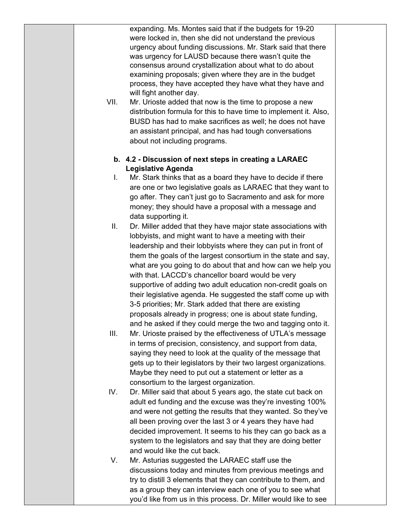expanding. Ms. Montes said that if the budgets for 19-20 were locked in, then she did not understand the previous urgency about funding discussions. Mr. Stark said that there was urgency for LAUSD because there wasn't quite the consensus around crystallization about what to do about examining proposals; given where they are in the budget process, they have accepted they have what they have and will fight another day.

VII. Mr. Urioste added that now is the time to propose a new distribution formula for this to have time to implement it. Also, BUSD has had to make sacrifices as well; he does not have an assistant principal, and has had tough conversations about not including programs.

## **b. 4.2 - Discussion of next steps in creating a LARAEC Legislative Agenda**

- I. Mr. Stark thinks that as a board they have to decide if there are one or two legislative goals as LARAEC that they want to go after. They can't just go to Sacramento and ask for more money; they should have a proposal with a message and data supporting it.
- II. Dr. Miller added that they have major state associations with lobbyists, and might want to have a meeting with their leadership and their lobbyists where they can put in front of them the goals of the largest consortium in the state and say, what are you going to do about that and how can we help you with that. LACCD's chancellor board would be very supportive of adding two adult education non-credit goals on their legislative agenda. He suggested the staff come up with 3-5 priorities; Mr. Stark added that there are existing proposals already in progress; one is about state funding, and he asked if they could merge the two and tagging onto it.
- III. Mr. Urioste praised by the effectiveness of UTLA's message in terms of precision, consistency, and support from data, saying they need to look at the quality of the message that gets up to their legislators by their two largest organizations. Maybe they need to put out a statement or letter as a consortium to the largest organization.
- IV. Dr. Miller said that about 5 years ago, the state cut back on adult ed funding and the excuse was they're investing 100% and were not getting the results that they wanted. So they've all been proving over the last 3 or 4 years they have had decided improvement. It seems to his they can go back as a system to the legislators and say that they are doing better and would like the cut back.
- V. Mr. Asturias suggested the LARAEC staff use the discussions today and minutes from previous meetings and try to distill 3 elements that they can contribute to them, and as a group they can interview each one of you to see what you'd like from us in this process. Dr. Miller would like to see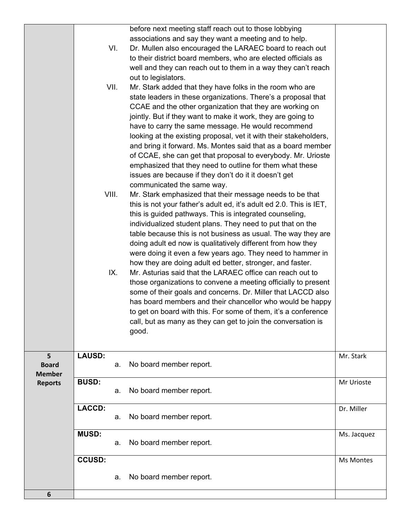|                                    |               | VI.<br>VII.<br>VIII.<br>IX. | before next meeting staff reach out to those lobbying<br>associations and say they want a meeting and to help.<br>Dr. Mullen also encouraged the LARAEC board to reach out<br>to their district board members, who are elected officials as<br>well and they can reach out to them in a way they can't reach<br>out to legislators.<br>Mr. Stark added that they have folks in the room who are<br>state leaders in these organizations. There's a proposal that<br>CCAE and the other organization that they are working on<br>jointly. But if they want to make it work, they are going to<br>have to carry the same message. He would recommend<br>looking at the existing proposal, vet it with their stakeholders,<br>and bring it forward. Ms. Montes said that as a board member<br>of CCAE, she can get that proposal to everybody. Mr. Urioste<br>emphasized that they need to outline for them what these<br>issues are because if they don't do it it doesn't get<br>communicated the same way.<br>Mr. Stark emphasized that their message needs to be that<br>this is not your father's adult ed, it's adult ed 2.0. This is IET,<br>this is guided pathways. This is integrated counseling,<br>individualized student plans. They need to put that on the<br>table because this is not business as usual. The way they are<br>doing adult ed now is qualitatively different from how they<br>were doing it even a few years ago. They need to hammer in<br>how they are doing adult ed better, stronger, and faster.<br>Mr. Asturias said that the LARAEC office can reach out to<br>those organizations to convene a meeting officially to present<br>some of their goals and concerns. Dr. Miller that LACCD also<br>has board members and their chancellor who would be happy<br>to get on board with this. For some of them, it's a conference<br>call, but as many as they can get to join the conversation is<br>good. |             |
|------------------------------------|---------------|-----------------------------|-------------------------------------------------------------------------------------------------------------------------------------------------------------------------------------------------------------------------------------------------------------------------------------------------------------------------------------------------------------------------------------------------------------------------------------------------------------------------------------------------------------------------------------------------------------------------------------------------------------------------------------------------------------------------------------------------------------------------------------------------------------------------------------------------------------------------------------------------------------------------------------------------------------------------------------------------------------------------------------------------------------------------------------------------------------------------------------------------------------------------------------------------------------------------------------------------------------------------------------------------------------------------------------------------------------------------------------------------------------------------------------------------------------------------------------------------------------------------------------------------------------------------------------------------------------------------------------------------------------------------------------------------------------------------------------------------------------------------------------------------------------------------------------------------------------------------------------------------------------------------------------------------------------------------------------------|-------------|
| 5<br><b>Board</b><br><b>Member</b> | <b>LAUSD:</b> | a.                          | No board member report.                                                                                                                                                                                                                                                                                                                                                                                                                                                                                                                                                                                                                                                                                                                                                                                                                                                                                                                                                                                                                                                                                                                                                                                                                                                                                                                                                                                                                                                                                                                                                                                                                                                                                                                                                                                                                                                                                                                   | Mr. Stark   |
| <b>Reports</b>                     | <b>BUSD:</b>  | a.                          | No board member report.                                                                                                                                                                                                                                                                                                                                                                                                                                                                                                                                                                                                                                                                                                                                                                                                                                                                                                                                                                                                                                                                                                                                                                                                                                                                                                                                                                                                                                                                                                                                                                                                                                                                                                                                                                                                                                                                                                                   | Mr Urioste  |
|                                    | <b>LACCD:</b> | a.                          | No board member report.                                                                                                                                                                                                                                                                                                                                                                                                                                                                                                                                                                                                                                                                                                                                                                                                                                                                                                                                                                                                                                                                                                                                                                                                                                                                                                                                                                                                                                                                                                                                                                                                                                                                                                                                                                                                                                                                                                                   | Dr. Miller  |
|                                    | <b>MUSD:</b>  | a.                          | No board member report.                                                                                                                                                                                                                                                                                                                                                                                                                                                                                                                                                                                                                                                                                                                                                                                                                                                                                                                                                                                                                                                                                                                                                                                                                                                                                                                                                                                                                                                                                                                                                                                                                                                                                                                                                                                                                                                                                                                   | Ms. Jacquez |
|                                    | <b>CCUSD:</b> | a.                          | No board member report.                                                                                                                                                                                                                                                                                                                                                                                                                                                                                                                                                                                                                                                                                                                                                                                                                                                                                                                                                                                                                                                                                                                                                                                                                                                                                                                                                                                                                                                                                                                                                                                                                                                                                                                                                                                                                                                                                                                   | Ms Montes   |
| 6                                  |               |                             |                                                                                                                                                                                                                                                                                                                                                                                                                                                                                                                                                                                                                                                                                                                                                                                                                                                                                                                                                                                                                                                                                                                                                                                                                                                                                                                                                                                                                                                                                                                                                                                                                                                                                                                                                                                                                                                                                                                                           |             |